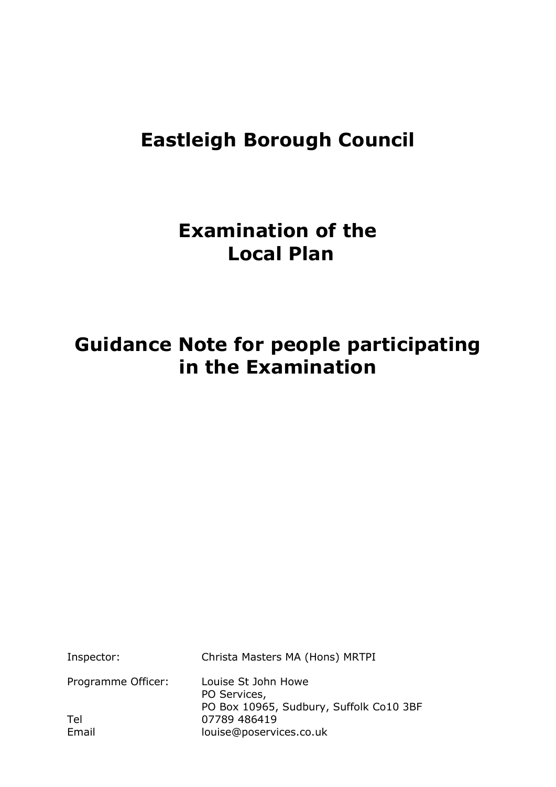# **Eastleigh Borough Council**

# **Examination of the Local Plan**

# **Guidance Note for people participating in the Examination**

| Inspector:         | Christa Masters MA (Hons) MRTPI                                                |
|--------------------|--------------------------------------------------------------------------------|
| Programme Officer: | Louise St John Howe<br>PO Services,<br>PO Box 10965, Sudbury, Suffolk Co10 3BF |
| Tel                | 07789 486419                                                                   |
| Email              | louise@poservices.co.uk                                                        |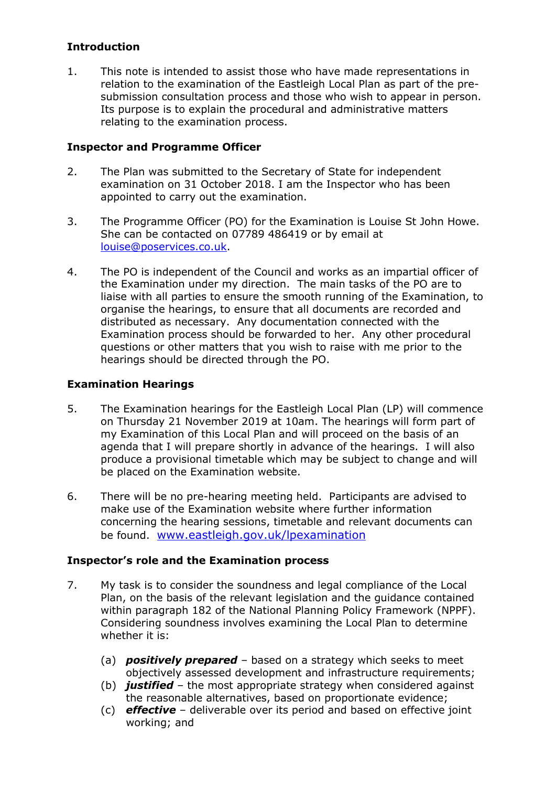### **Introduction**

1. This note is intended to assist those who have made representations in relation to the examination of the Eastleigh Local Plan as part of the presubmission consultation process and those who wish to appear in person. Its purpose is to explain the procedural and administrative matters relating to the examination process.

#### **Inspector and Programme Officer**

- 2. The Plan was submitted to the Secretary of State for independent examination on 31 October 2018. I am the Inspector who has been appointed to carry out the examination.
- 3. The Programme Officer (PO) for the Examination is Louise St John Howe. She can be contacted on 07789 486419 or by email at louise@poservices.co.uk.
- 4. The PO is independent of the Council and works as an impartial officer of the Examination under my direction. The main tasks of the PO are to liaise with all parties to ensure the smooth running of the Examination, to organise the hearings, to ensure that all documents are recorded and distributed as necessary. Any documentation connected with the Examination process should be forwarded to her. Any other procedural questions or other matters that you wish to raise with me prior to the hearings should be directed through the PO.

### **Examination Hearings**

- 5. The Examination hearings for the Eastleigh Local Plan (LP) will commence on Thursday 21 November 2019 at 10am. The hearings will form part of my Examination of this Local Plan and will proceed on the basis of an agenda that I will prepare shortly in advance of the hearings. I will also produce a provisional timetable which may be subject to change and will be placed on the Examination website.
- 6. There will be no pre-hearing meeting held. Participants are advised to make use of the Examination website where further information concerning the hearing sessions, timetable and relevant documents can be found. www.eastleigh.gov.uk/lpexamination

#### **Inspector's role and the Examination process**

- 7. My task is to consider the soundness and legal compliance of the Local Plan, on the basis of the relevant legislation and the guidance contained within paragraph 182 of the National Planning Policy Framework (NPPF). Considering soundness involves examining the Local Plan to determine whether it is:
	- (a) *positively prepared –* based on a strategy which seeks to meet objectively assessed development and infrastructure requirements;
	- (b) *justified* the most appropriate strategy when considered against the reasonable alternatives, based on proportionate evidence;
	- (c) *effective* deliverable over its period and based on effective joint working; and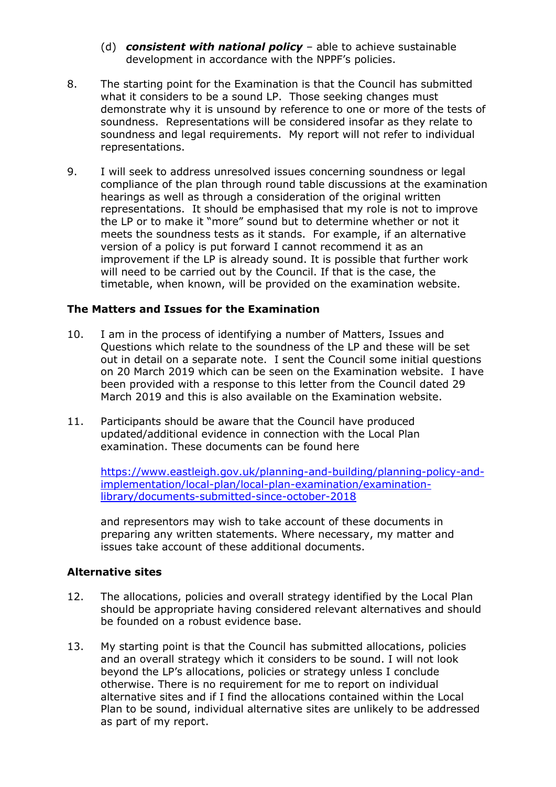- (d) *consistent with national policy* able to achieve sustainable development in accordance with the NPPF's policies.
- 8. The starting point for the Examination is that the Council has submitted what it considers to be a sound LP. Those seeking changes must demonstrate why it is unsound by reference to one or more of the tests of soundness. Representations will be considered insofar as they relate to soundness and legal requirements. My report will not refer to individual representations.
- 9. I will seek to address unresolved issues concerning soundness or legal compliance of the plan through round table discussions at the examination hearings as well as through a consideration of the original written representations. It should be emphasised that my role is not to improve the LP or to make it "more" sound but to determine whether or not it meets the soundness tests as it stands. For example, if an alternative version of a policy is put forward I cannot recommend it as an improvement if the LP is already sound. It is possible that further work will need to be carried out by the Council. If that is the case, the timetable, when known, will be provided on the examination website.

#### **The Matters and Issues for the Examination**

- 10. I am in the process of identifying a number of Matters, Issues and Questions which relate to the soundness of the LP and these will be set out in detail on a separate note. I sent the Council some initial questions on 20 March 2019 which can be seen on the Examination website. I have been provided with a response to this letter from the Council dated 29 March 2019 and this is also available on the Examination website.
- 11. Participants should be aware that the Council have produced updated/additional evidence in connection with the Local Plan examination. These documents can be found here

https://www.eastleigh.gov.uk/planning-and-building/planning-policy-andimplementation/local-plan/local-plan-examination/examinationlibrary/documents-submitted-since-october-2018

and representors may wish to take account of these documents in preparing any written statements. Where necessary, my matter and issues take account of these additional documents.

#### **Alternative sites**

- 12. The allocations, policies and overall strategy identified by the Local Plan should be appropriate having considered relevant alternatives and should be founded on a robust evidence base.
- 13. My starting point is that the Council has submitted allocations, policies and an overall strategy which it considers to be sound. I will not look beyond the LP's allocations, policies or strategy unless I conclude otherwise. There is no requirement for me to report on individual alternative sites and if I find the allocations contained within the Local Plan to be sound, individual alternative sites are unlikely to be addressed as part of my report.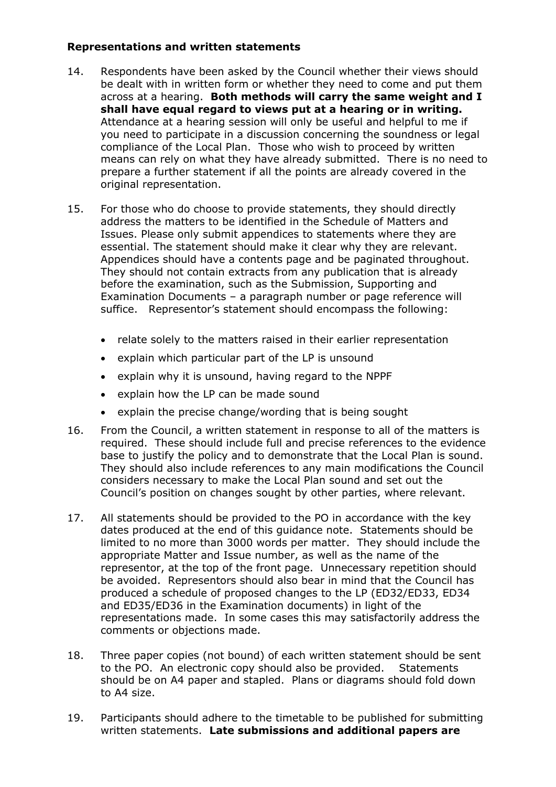#### **Representations and written statements**

- 14. Respondents have been asked by the Council whether their views should be dealt with in written form or whether they need to come and put them across at a hearing. **Both methods will carry the same weight and I shall have equal regard to views put at a hearing or in writing.** Attendance at a hearing session will only be useful and helpful to me if you need to participate in a discussion concerning the soundness or legal compliance of the Local Plan. Those who wish to proceed by written means can rely on what they have already submitted. There is no need to prepare a further statement if all the points are already covered in the original representation.
- 15. For those who do choose to provide statements, they should directly address the matters to be identified in the Schedule of Matters and Issues. Please only submit appendices to statements where they are essential. The statement should make it clear why they are relevant. Appendices should have a contents page and be paginated throughout. They should not contain extracts from any publication that is already before the examination, such as the Submission, Supporting and Examination Documents – a paragraph number or page reference will suffice. Representor's statement should encompass the following:
	- relate solely to the matters raised in their earlier representation
	- explain which particular part of the LP is unsound
	- explain why it is unsound, having regard to the NPPF
	- explain how the LP can be made sound
	- explain the precise change/wording that is being sought
- 16. From the Council, a written statement in response to all of the matters is required. These should include full and precise references to the evidence base to justify the policy and to demonstrate that the Local Plan is sound. They should also include references to any main modifications the Council considers necessary to make the Local Plan sound and set out the Council's position on changes sought by other parties, where relevant.
- 17. All statements should be provided to the PO in accordance with the key dates produced at the end of this guidance note. Statements should be limited to no more than 3000 words per matter. They should include the appropriate Matter and Issue number, as well as the name of the representor, at the top of the front page. Unnecessary repetition should be avoided. Representors should also bear in mind that the Council has produced a schedule of proposed changes to the LP (ED32/ED33, ED34 and ED35/ED36 in the Examination documents) in light of the representations made. In some cases this may satisfactorily address the comments or objections made.
- 18. Three paper copies (not bound) of each written statement should be sent to the PO. An electronic copy should also be provided. Statements should be on A4 paper and stapled. Plans or diagrams should fold down to A4 size.
- 19. Participants should adhere to the timetable to be published for submitting written statements. **Late submissions and additional papers are**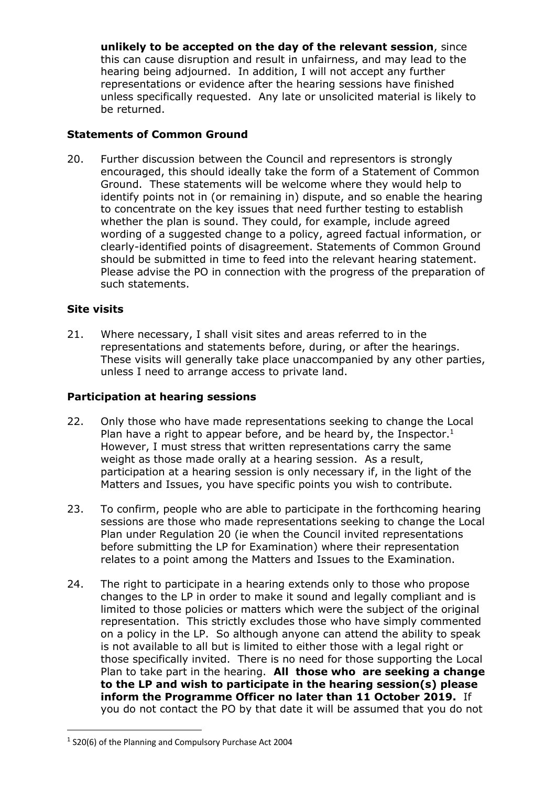**unlikely to be accepted on the day of the relevant session**, since this can cause disruption and result in unfairness, and may lead to the hearing being adjourned. In addition, I will not accept any further representations or evidence after the hearing sessions have finished unless specifically requested. Any late or unsolicited material is likely to be returned.

### **Statements of Common Ground**

20. Further discussion between the Council and representors is strongly encouraged, this should ideally take the form of a Statement of Common Ground. These statements will be welcome where they would help to identify points not in (or remaining in) dispute, and so enable the hearing to concentrate on the key issues that need further testing to establish whether the plan is sound. They could, for example, include agreed wording of a suggested change to a policy, agreed factual information, or clearly-identified points of disagreement. Statements of Common Ground should be submitted in time to feed into the relevant hearing statement. Please advise the PO in connection with the progress of the preparation of such statements.

### **Site visits**

21. Where necessary, I shall visit sites and areas referred to in the representations and statements before, during, or after the hearings. These visits will generally take place unaccompanied by any other parties, unless I need to arrange access to private land.

#### **Participation at hearing sessions**

- 22. Only those who have made representations seeking to change the Local Plan have a right to appear before, and be heard by, the Inspector.<sup>1</sup> However, I must stress that written representations carry the same weight as those made orally at a hearing session. As a result, participation at a hearing session is only necessary if, in the light of the Matters and Issues, you have specific points you wish to contribute.
- 23. To confirm, people who are able to participate in the forthcoming hearing sessions are those who made representations seeking to change the Local Plan under Regulation 20 (ie when the Council invited representations before submitting the LP for Examination) where their representation relates to a point among the Matters and Issues to the Examination.
- 24. The right to participate in a hearing extends only to those who propose changes to the LP in order to make it sound and legally compliant and is limited to those policies or matters which were the subject of the original representation. This strictly excludes those who have simply commented on a policy in the LP. So although anyone can attend the ability to speak is not available to all but is limited to either those with a legal right or those specifically invited. There is no need for those supporting the Local Plan to take part in the hearing. **All those who are seeking a change to the LP and wish to participate in the hearing session(s) please inform the Programme Officer no later than 11 October 2019.** If you do not contact the PO by that date it will be assumed that you do not

<sup>1</sup> S20(6) of the Planning and Compulsory Purchase Act 2004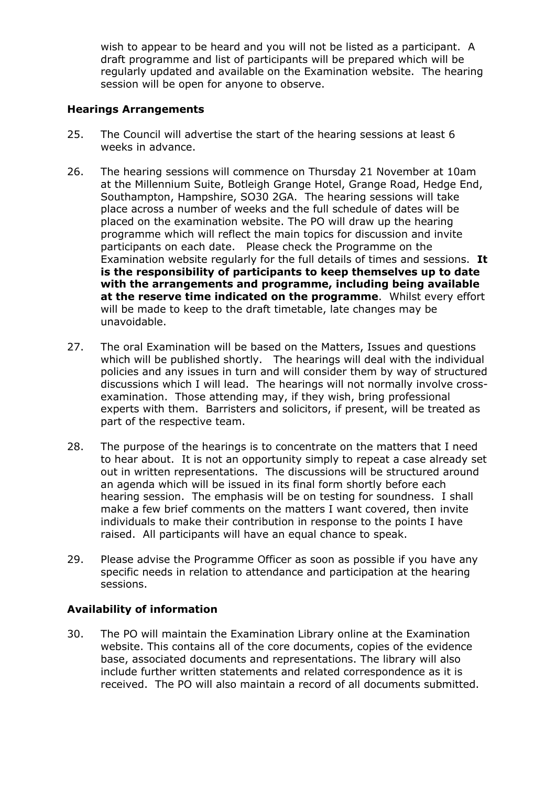wish to appear to be heard and you will not be listed as a participant. A draft programme and list of participants will be prepared which will be regularly updated and available on the Examination website. The hearing session will be open for anyone to observe.

#### **Hearings Arrangements**

- 25. The Council will advertise the start of the hearing sessions at least 6 weeks in advance.
- 26. The hearing sessions will commence on Thursday 21 November at 10am at the Millennium Suite, Botleigh Grange Hotel, Grange Road, Hedge End, Southampton, Hampshire, SO30 2GA. The hearing sessions will take place across a number of weeks and the full schedule of dates will be placed on the examination website. The PO will draw up the hearing programme which will reflect the main topics for discussion and invite participants on each date. Please check the Programme on the Examination website regularly for the full details of times and sessions. **It is the responsibility of participants to keep themselves up to date with the arrangements and programme, including being available at the reserve time indicated on the programme**. Whilst every effort will be made to keep to the draft timetable, late changes may be unavoidable.
- 27. The oral Examination will be based on the Matters, Issues and questions which will be published shortly. The hearings will deal with the individual policies and any issues in turn and will consider them by way of structured discussions which I will lead. The hearings will not normally involve crossexamination. Those attending may, if they wish, bring professional experts with them. Barristers and solicitors, if present, will be treated as part of the respective team.
- 28. The purpose of the hearings is to concentrate on the matters that I need to hear about. It is not an opportunity simply to repeat a case already set out in written representations. The discussions will be structured around an agenda which will be issued in its final form shortly before each hearing session. The emphasis will be on testing for soundness. I shall make a few brief comments on the matters I want covered, then invite individuals to make their contribution in response to the points I have raised. All participants will have an equal chance to speak.
- 29. Please advise the Programme Officer as soon as possible if you have any specific needs in relation to attendance and participation at the hearing sessions.

# **Availability of information**

30. The PO will maintain the Examination Library online at the Examination website. This contains all of the core documents, copies of the evidence base, associated documents and representations. The library will also include further written statements and related correspondence as it is received. The PO will also maintain a record of all documents submitted.